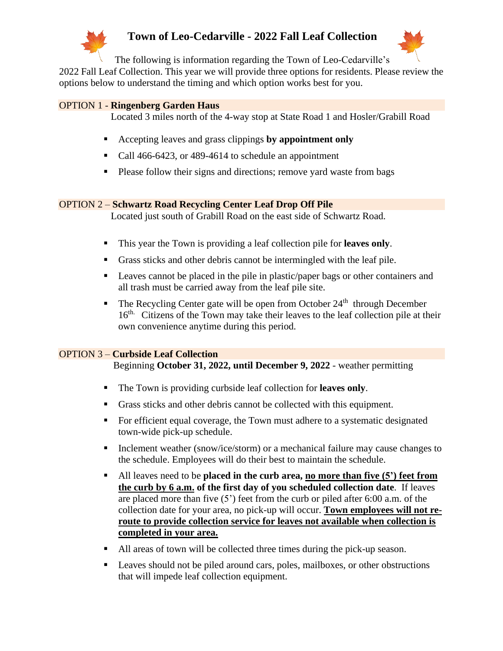

## **Town of Leo-Cedarville - 2022 Fall Leaf Collection**



The following is information regarding the Town of Leo-Cedarville's

2022 Fall Leaf Collection. This year we will provide three options for residents. Please review the options below to understand the timing and which option works best for you.

#### OPTION 1 - **Ringenberg Garden Haus**

Located 3 miles north of the 4-way stop at State Road 1 and Hosler/Grabill Road

- Accepting leaves and grass clippings **by appointment only**
- Call 466-6423, or 489-4614 to schedule an appointment
- Please follow their signs and directions; remove yard waste from bags

#### OPTION 2 – **Schwartz Road Recycling Center Leaf Drop Off Pile**

Located just south of Grabill Road on the east side of Schwartz Road.

- This year the Town is providing a leaf collection pile for **leaves only**.
- Grass sticks and other debris cannot be intermingled with the leaf pile.
- Leaves cannot be placed in the pile in plastic/paper bags or other containers and all trash must be carried away from the leaf pile site.
- $\blacksquare$  The Recycling Center gate will be open from October 24<sup>th</sup> through December 16<sup>th.</sup> Citizens of the Town may take their leaves to the leaf collection pile at their own convenience anytime during this period.

### OPTION 3 – **Curbside Leaf Collection**

Beginning **October 31, 2022, until December 9, 2022** - weather permitting

- The Town is providing curbside leaf collection for **leaves only**.
- Grass sticks and other debris cannot be collected with this equipment.
- For efficient equal coverage, the Town must adhere to a systematic designated town-wide pick-up schedule.
- Inclement weather (snow/ice/storm) or a mechanical failure may cause changes to the schedule. Employees will do their best to maintain the schedule.
- All leaves need to be **placed in the curb area, no more than five (5') feet from the curb by 6 a.m. of the first day of you scheduled collection date**. If leaves are placed more than five (5') feet from the curb or piled after 6:00 a.m. of the collection date for your area, no pick-up will occur. **Town employees will not reroute to provide collection service for leaves not available when collection is completed in your area.**
- All areas of town will be collected three times during the pick-up season.
- **Exercise** Leaves should not be piled around cars, poles, mailboxes, or other obstructions that will impede leaf collection equipment.